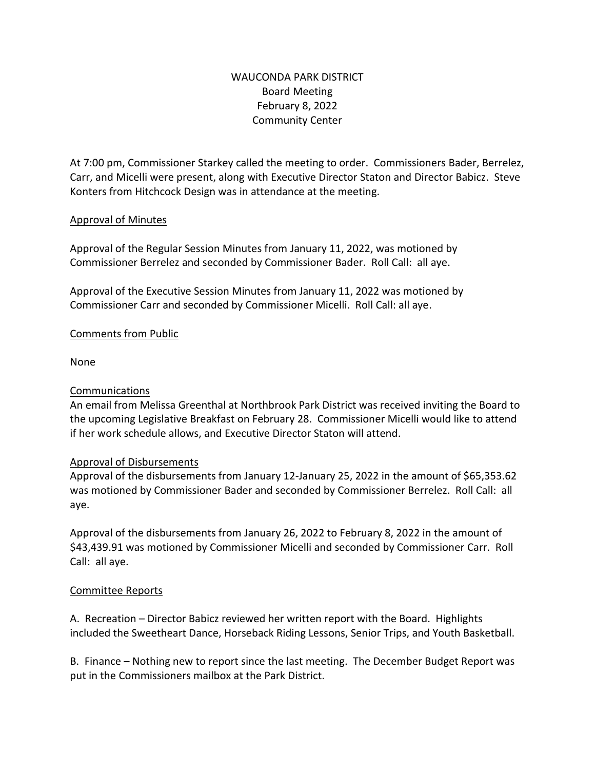# WAUCONDA PARK DISTRICT Board Meeting February 8, 2022 Community Center

At 7:00 pm, Commissioner Starkey called the meeting to order. Commissioners Bader, Berrelez, Carr, and Micelli were present, along with Executive Director Staton and Director Babicz. Steve Konters from Hitchcock Design was in attendance at the meeting.

## Approval of Minutes

Approval of the Regular Session Minutes from January 11, 2022, was motioned by Commissioner Berrelez and seconded by Commissioner Bader. Roll Call: all aye.

Approval of the Executive Session Minutes from January 11, 2022 was motioned by Commissioner Carr and seconded by Commissioner Micelli. Roll Call: all aye.

## Comments from Public

None

#### Communications

An email from Melissa Greenthal at Northbrook Park District was received inviting the Board to the upcoming Legislative Breakfast on February 28. Commissioner Micelli would like to attend if her work schedule allows, and Executive Director Staton will attend.

#### Approval of Disbursements

Approval of the disbursements from January 12-January 25, 2022 in the amount of \$65,353.62 was motioned by Commissioner Bader and seconded by Commissioner Berrelez. Roll Call: all aye.

Approval of the disbursements from January 26, 2022 to February 8, 2022 in the amount of \$43,439.91 was motioned by Commissioner Micelli and seconded by Commissioner Carr. Roll Call: all aye.

#### Committee Reports

A. Recreation – Director Babicz reviewed her written report with the Board. Highlights included the Sweetheart Dance, Horseback Riding Lessons, Senior Trips, and Youth Basketball.

B. Finance – Nothing new to report since the last meeting. The December Budget Report was put in the Commissioners mailbox at the Park District.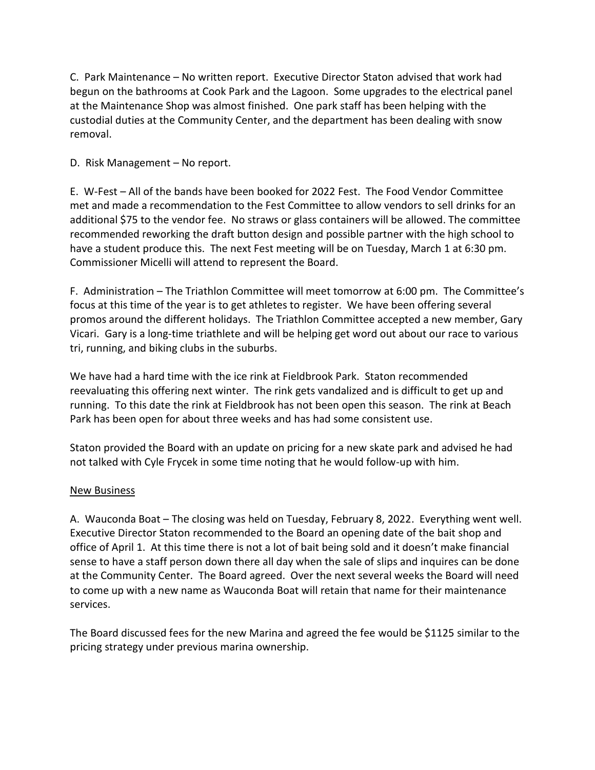C. Park Maintenance – No written report. Executive Director Staton advised that work had begun on the bathrooms at Cook Park and the Lagoon. Some upgrades to the electrical panel at the Maintenance Shop was almost finished. One park staff has been helping with the custodial duties at the Community Center, and the department has been dealing with snow removal.

## D. Risk Management – No report.

E. W-Fest – All of the bands have been booked for 2022 Fest. The Food Vendor Committee met and made a recommendation to the Fest Committee to allow vendors to sell drinks for an additional \$75 to the vendor fee. No straws or glass containers will be allowed. The committee recommended reworking the draft button design and possible partner with the high school to have a student produce this. The next Fest meeting will be on Tuesday, March 1 at 6:30 pm. Commissioner Micelli will attend to represent the Board.

F. Administration – The Triathlon Committee will meet tomorrow at 6:00 pm. The Committee's focus at this time of the year is to get athletes to register. We have been offering several promos around the different holidays. The Triathlon Committee accepted a new member, Gary Vicari. Gary is a long-time triathlete and will be helping get word out about our race to various tri, running, and biking clubs in the suburbs.

We have had a hard time with the ice rink at Fieldbrook Park. Staton recommended reevaluating this offering next winter. The rink gets vandalized and is difficult to get up and running. To this date the rink at Fieldbrook has not been open this season. The rink at Beach Park has been open for about three weeks and has had some consistent use.

Staton provided the Board with an update on pricing for a new skate park and advised he had not talked with Cyle Frycek in some time noting that he would follow-up with him.

#### New Business

A. Wauconda Boat – The closing was held on Tuesday, February 8, 2022. Everything went well. Executive Director Staton recommended to the Board an opening date of the bait shop and office of April 1. At this time there is not a lot of bait being sold and it doesn't make financial sense to have a staff person down there all day when the sale of slips and inquires can be done at the Community Center. The Board agreed. Over the next several weeks the Board will need to come up with a new name as Wauconda Boat will retain that name for their maintenance services.

The Board discussed fees for the new Marina and agreed the fee would be \$1125 similar to the pricing strategy under previous marina ownership.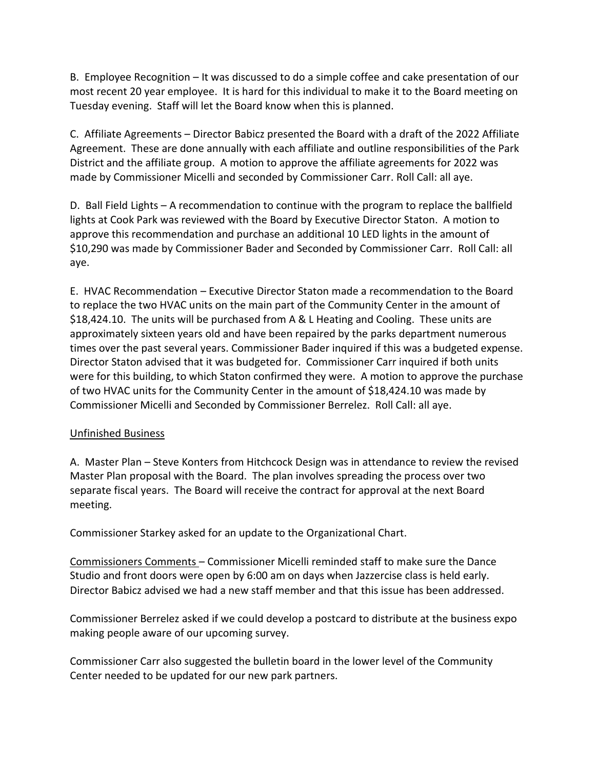B. Employee Recognition – It was discussed to do a simple coffee and cake presentation of our most recent 20 year employee. It is hard for this individual to make it to the Board meeting on Tuesday evening. Staff will let the Board know when this is planned.

C. Affiliate Agreements – Director Babicz presented the Board with a draft of the 2022 Affiliate Agreement. These are done annually with each affiliate and outline responsibilities of the Park District and the affiliate group. A motion to approve the affiliate agreements for 2022 was made by Commissioner Micelli and seconded by Commissioner Carr. Roll Call: all aye.

D. Ball Field Lights – A recommendation to continue with the program to replace the ballfield lights at Cook Park was reviewed with the Board by Executive Director Staton. A motion to approve this recommendation and purchase an additional 10 LED lights in the amount of \$10,290 was made by Commissioner Bader and Seconded by Commissioner Carr. Roll Call: all aye.

E. HVAC Recommendation – Executive Director Staton made a recommendation to the Board to replace the two HVAC units on the main part of the Community Center in the amount of \$18,424.10. The units will be purchased from A & L Heating and Cooling. These units are approximately sixteen years old and have been repaired by the parks department numerous times over the past several years. Commissioner Bader inquired if this was a budgeted expense. Director Staton advised that it was budgeted for. Commissioner Carr inquired if both units were for this building, to which Staton confirmed they were. A motion to approve the purchase of two HVAC units for the Community Center in the amount of \$18,424.10 was made by Commissioner Micelli and Seconded by Commissioner Berrelez. Roll Call: all aye.

## Unfinished Business

A. Master Plan – Steve Konters from Hitchcock Design was in attendance to review the revised Master Plan proposal with the Board. The plan involves spreading the process over two separate fiscal years. The Board will receive the contract for approval at the next Board meeting.

Commissioner Starkey asked for an update to the Organizational Chart.

Commissioners Comments – Commissioner Micelli reminded staff to make sure the Dance Studio and front doors were open by 6:00 am on days when Jazzercise class is held early. Director Babicz advised we had a new staff member and that this issue has been addressed.

Commissioner Berrelez asked if we could develop a postcard to distribute at the business expo making people aware of our upcoming survey.

Commissioner Carr also suggested the bulletin board in the lower level of the Community Center needed to be updated for our new park partners.